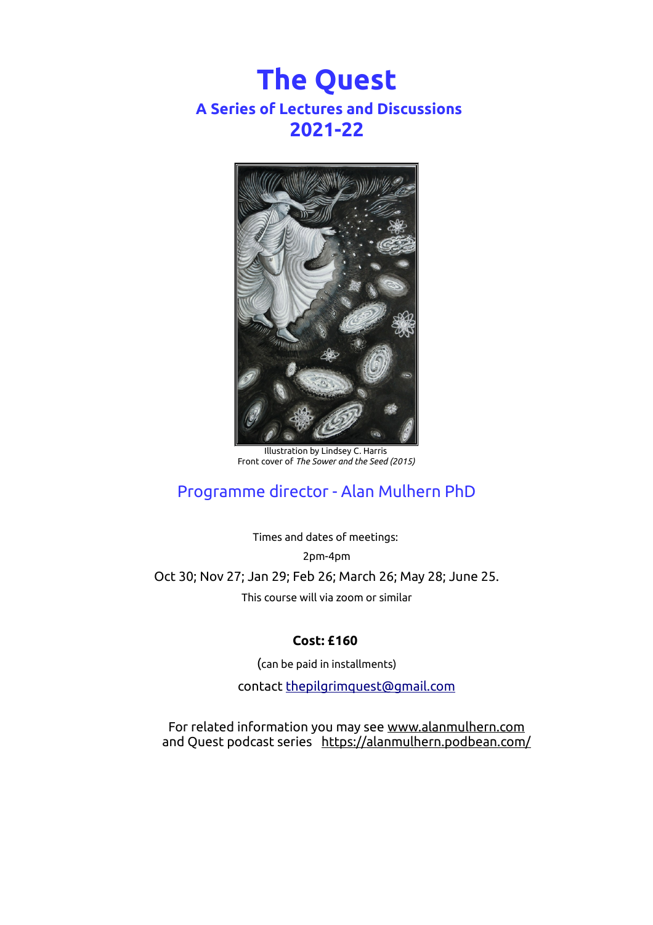# **The Quest A Series of Lectures and Discussions 2021-22**



Illustration by Lindsey C. Harris Front cover of *The Sower and the Seed (2015)*

## Programme director - Alan Mulhern PhD

Times and dates of meetings: 2pm-4pm Oct 30; Nov 27; Jan 29; Feb 26; March 26; May 28; June 25. This course will via zoom or similar

#### **Cost: £160**

(can be paid in installments) contact [thepilgrimquest@gmail.com](mailto:thepilgrimquest@gmail.com)

For related information you may see [www.alanmulhern.com](http://www.alanmulhern.com/) and Quest podcast series <https://alanmulhern.podbean.com/>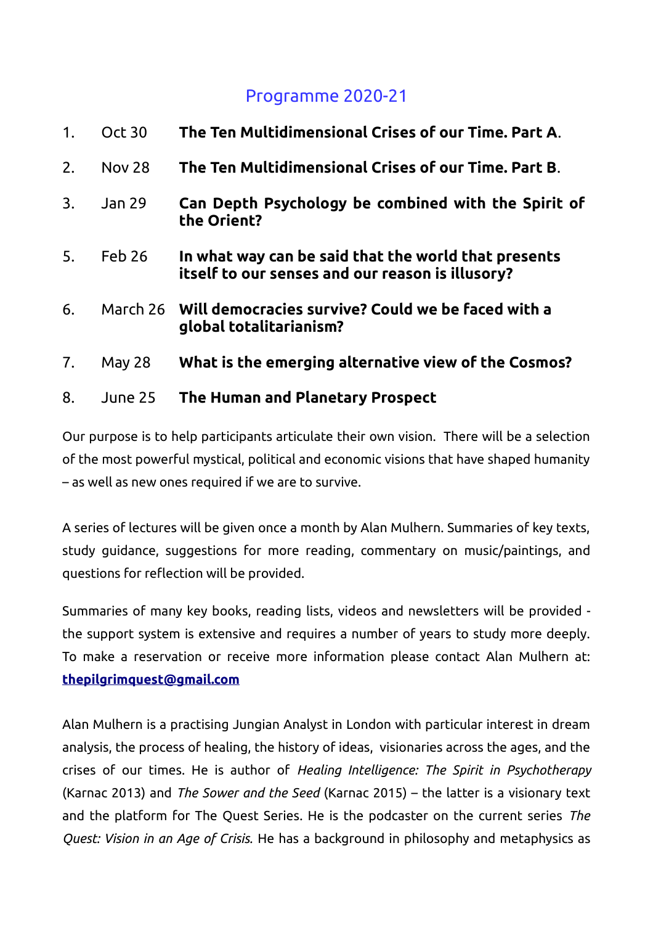### Programme 2020-21

| 1. | <b>Oct 30</b> | The Ten Multidimensional Crises of our Time. Part A.                                                     |
|----|---------------|----------------------------------------------------------------------------------------------------------|
| 2. | <b>Nov 28</b> | The Ten Multidimensional Crises of our Time. Part B.                                                     |
| 3. | Jan 29        | Can Depth Psychology be combined with the Spirit of<br>the Orient?                                       |
| 5. | Feb 26        | In what way can be said that the world that presents<br>itself to our senses and our reason is illusory? |
| 6. |               | March 26 Will democracies survive? Could we be faced with a<br>global totalitarianism?                   |
| 7. | May 28        | What is the emerging alternative view of the Cosmos?                                                     |
| 8. | June 25       | The Human and Planetary Prospect                                                                         |

Our purpose is to help participants articulate their own vision. There will be a selection of the most powerful mystical, political and economic visions that have shaped humanity – as well as new ones required if we are to survive.

A series of lectures will be given once a month by Alan Mulhern. Summaries of key texts, study guidance, suggestions for more reading, commentary on music/paintings, and questions for reflection will be provided.

Summaries of many key books, reading lists, videos and newsletters will be provided the support system is extensive and requires a number of years to study more deeply. To make a reservation or receive more information please contact Alan Mulhern at:  **[thepilgrimquest@gmail.com](mailto:thepilgrimquest@gmail.com)**

Alan Mulhern is a practising Jungian Analyst in London with particular interest in dream analysis, the process of healing, the history of ideas, visionaries across the ages, and the crises of our times. He is author of *Healing Intelligence: The Spirit in Psychotherapy* (Karnac 2013) and *The Sower and the Seed* (Karnac 2015) – the latter is a visionary text and the platform for The Quest Series. He is the podcaster on the current series *The Quest: Vision in an Age of Crisis.* He has a background in philosophy and metaphysics as